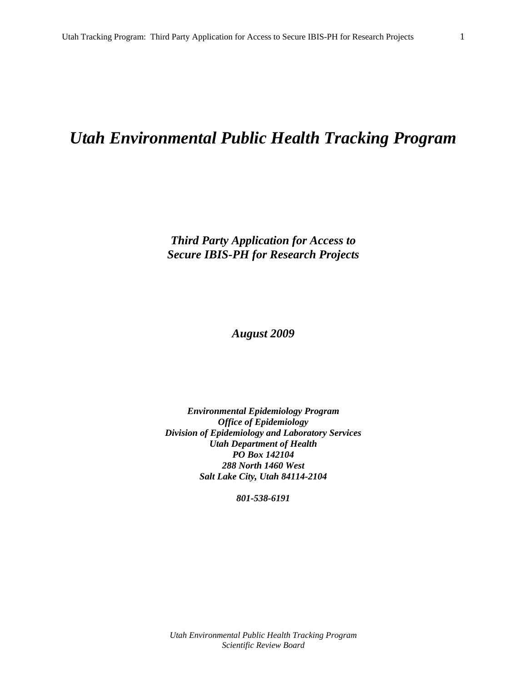# *Utah Environmental Public Health Tracking Program*

*Third Party Application for Access to Secure IBIS-PH for Research Projects* 

*August 2009* 

*Environmental Epidemiology Program Office of Epidemiology Division of Epidemiology and Laboratory Services Utah Department of Health PO Box 142104 288 North 1460 West Salt Lake City, Utah 84114-2104* 

*801-538-6191*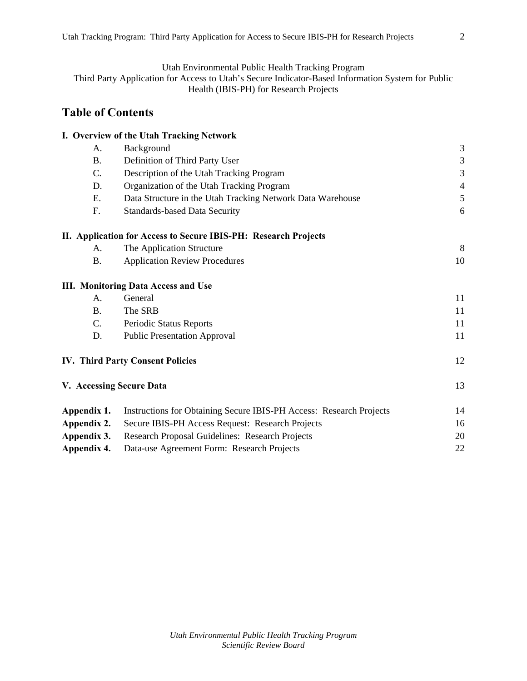Utah Environmental Public Health Tracking Program

Third Party Application for Access to Utah's Secure Indicator-Based Information System for Public Health (IBIS-PH) for Research Projects

## **Table of Contents**

|                          | I. Overview of the Utah Tracking Network                            |                |
|--------------------------|---------------------------------------------------------------------|----------------|
| A.                       | Background                                                          | 3              |
| <b>B.</b>                | Definition of Third Party User                                      | $\mathfrak{Z}$ |
| C.                       | Description of the Utah Tracking Program                            | 3              |
| D.                       | Organization of the Utah Tracking Program                           | $\overline{4}$ |
| Ε.                       | Data Structure in the Utah Tracking Network Data Warehouse          | 5              |
| F.                       | <b>Standards-based Data Security</b>                                | 6              |
|                          | II. Application for Access to Secure IBIS-PH: Research Projects     |                |
| $\mathsf{A}$ .           | The Application Structure                                           | 8              |
| <b>B.</b>                | <b>Application Review Procedures</b>                                | 10             |
|                          | <b>III. Monitoring Data Access and Use</b>                          |                |
| A.                       | General                                                             | 11             |
| <b>B.</b>                | The SRB                                                             | 11             |
| C.                       | Periodic Status Reports                                             | 11             |
| D.                       | <b>Public Presentation Approval</b>                                 | 11             |
|                          | <b>IV. Third Party Consent Policies</b>                             | 12             |
| V. Accessing Secure Data |                                                                     | 13             |
| Appendix 1.              | Instructions for Obtaining Secure IBIS-PH Access: Research Projects | 14             |
| Appendix 2.              | Secure IBIS-PH Access Request: Research Projects                    | 16             |
| Appendix 3.              | Research Proposal Guidelines: Research Projects                     | 20             |
| Appendix 4.              | Data-use Agreement Form: Research Projects                          | 22             |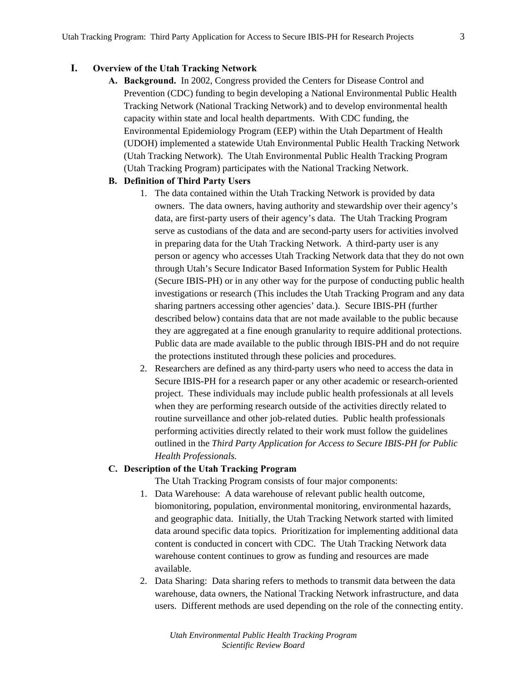## **I. Overview of the Utah Tracking Network**

**A. Background.** In 2002, Congress provided the Centers for Disease Control and Prevention (CDC) funding to begin developing a National Environmental Public Health Tracking Network (National Tracking Network) and to develop environmental health capacity within state and local health departments. With CDC funding, the Environmental Epidemiology Program (EEP) within the Utah Department of Health (UDOH) implemented a statewide Utah Environmental Public Health Tracking Network (Utah Tracking Network). The Utah Environmental Public Health Tracking Program (Utah Tracking Program) participates with the National Tracking Network.

#### **B. Definition of Third Party Users**

- 1. The data contained within the Utah Tracking Network is provided by data owners. The data owners, having authority and stewardship over their agency's data, are first-party users of their agency's data. The Utah Tracking Program serve as custodians of the data and are second-party users for activities involved in preparing data for the Utah Tracking Network. A third-party user is any person or agency who accesses Utah Tracking Network data that they do not own through Utah's Secure Indicator Based Information System for Public Health (Secure IBIS-PH) or in any other way for the purpose of conducting public health investigations or research (This includes the Utah Tracking Program and any data sharing partners accessing other agencies' data.). Secure IBIS-PH (further described below) contains data that are not made available to the public because they are aggregated at a fine enough granularity to require additional protections. Public data are made available to the public through IBIS-PH and do not require the protections instituted through these policies and procedures.
- 2. Researchers are defined as any third-party users who need to access the data in Secure IBIS-PH for a research paper or any other academic or research-oriented project. These individuals may include public health professionals at all levels when they are performing research outside of the activities directly related to routine surveillance and other job-related duties. Public health professionals performing activities directly related to their work must follow the guidelines outlined in the *Third Party Application for Access to Secure IBIS-PH for Public Health Professionals.*

#### **C. Description of the Utah Tracking Program**

The Utah Tracking Program consists of four major components:

- 1. Data Warehouse: A data warehouse of relevant public health outcome, biomonitoring, population, environmental monitoring, environmental hazards, and geographic data. Initially, the Utah Tracking Network started with limited data around specific data topics. Prioritization for implementing additional data content is conducted in concert with CDC. The Utah Tracking Network data warehouse content continues to grow as funding and resources are made available.
- 2. Data Sharing: Data sharing refers to methods to transmit data between the data warehouse, data owners, the National Tracking Network infrastructure, and data users. Different methods are used depending on the role of the connecting entity.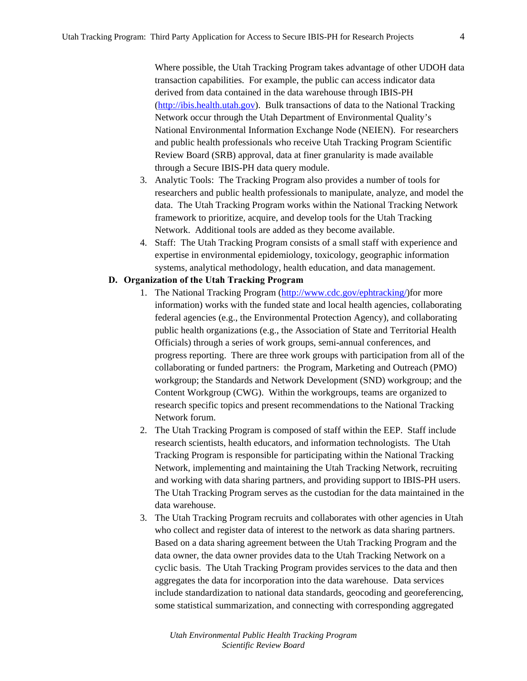Where possible, the Utah Tracking Program takes advantage of other UDOH data transaction capabilities. For example, the public can access indicator data derived from data contained in the data warehouse through IBIS-PH (http://ibis.health.utah.gov). Bulk transactions of data to the National Tracking Network occur through the Utah Department of Environmental Quality's National Environmental Information Exchange Node (NEIEN). For researchers and public health professionals who receive Utah Tracking Program Scientific Review Board (SRB) approval, data at finer granularity is made available through a Secure IBIS-PH data query module.

- 3. Analytic Tools: The Tracking Program also provides a number of tools for researchers and public health professionals to manipulate, analyze, and model the data. The Utah Tracking Program works within the National Tracking Network framework to prioritize, acquire, and develop tools for the Utah Tracking Network. Additional tools are added as they become available.
- 4. Staff: The Utah Tracking Program consists of a small staff with experience and expertise in environmental epidemiology, toxicology, geographic information systems, analytical methodology, health education, and data management.

#### **D. Organization of the Utah Tracking Program**

- 1. The National Tracking Program (http://www.cdc.gov/ephtracking/)for more information) works with the funded state and local health agencies, collaborating federal agencies (e.g., the Environmental Protection Agency), and collaborating public health organizations (e.g., the Association of State and Territorial Health Officials) through a series of work groups, semi-annual conferences, and progress reporting. There are three work groups with participation from all of the collaborating or funded partners: the Program, Marketing and Outreach (PMO) workgroup; the Standards and Network Development (SND) workgroup; and the Content Workgroup (CWG). Within the workgroups, teams are organized to research specific topics and present recommendations to the National Tracking Network forum.
- 2. The Utah Tracking Program is composed of staff within the EEP. Staff include research scientists, health educators, and information technologists. The Utah Tracking Program is responsible for participating within the National Tracking Network, implementing and maintaining the Utah Tracking Network, recruiting and working with data sharing partners, and providing support to IBIS-PH users. The Utah Tracking Program serves as the custodian for the data maintained in the data warehouse.
- 3. The Utah Tracking Program recruits and collaborates with other agencies in Utah who collect and register data of interest to the network as data sharing partners. Based on a data sharing agreement between the Utah Tracking Program and the data owner, the data owner provides data to the Utah Tracking Network on a cyclic basis. The Utah Tracking Program provides services to the data and then aggregates the data for incorporation into the data warehouse. Data services include standardization to national data standards, geocoding and georeferencing, some statistical summarization, and connecting with corresponding aggregated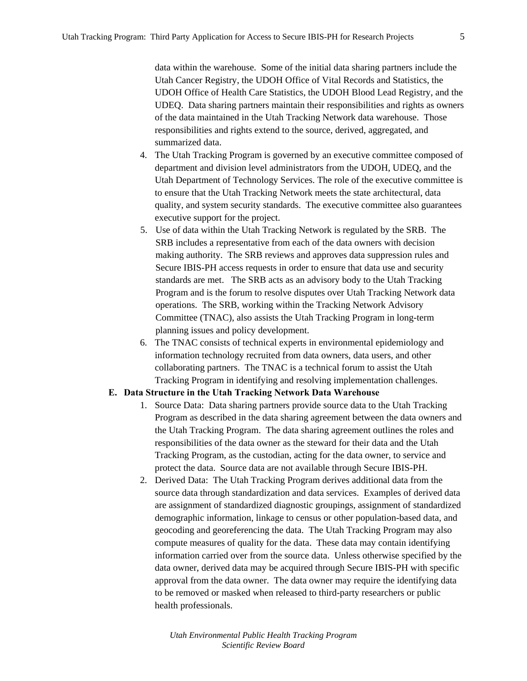data within the warehouse. Some of the initial data sharing partners include the Utah Cancer Registry, the UDOH Office of Vital Records and Statistics, the UDOH Office of Health Care Statistics, the UDOH Blood Lead Registry, and the UDEQ. Data sharing partners maintain their responsibilities and rights as owners of the data maintained in the Utah Tracking Network data warehouse. Those responsibilities and rights extend to the source, derived, aggregated, and summarized data.

- 4. The Utah Tracking Program is governed by an executive committee composed of department and division level administrators from the UDOH, UDEQ, and the Utah Department of Technology Services. The role of the executive committee is to ensure that the Utah Tracking Network meets the state architectural, data quality, and system security standards. The executive committee also guarantees executive support for the project.
- 5. Use of data within the Utah Tracking Network is regulated by the SRB. The SRB includes a representative from each of the data owners with decision making authority. The SRB reviews and approves data suppression rules and Secure IBIS-PH access requests in order to ensure that data use and security standards are met. The SRB acts as an advisory body to the Utah Tracking Program and is the forum to resolve disputes over Utah Tracking Network data operations. The SRB, working within the Tracking Network Advisory Committee (TNAC), also assists the Utah Tracking Program in long-term planning issues and policy development.
- 6. The TNAC consists of technical experts in environmental epidemiology and information technology recruited from data owners, data users, and other collaborating partners. The TNAC is a technical forum to assist the Utah Tracking Program in identifying and resolving implementation challenges.

#### **E. Data Structure in the Utah Tracking Network Data Warehouse**

- 1. Source Data: Data sharing partners provide source data to the Utah Tracking Program as described in the data sharing agreement between the data owners and the Utah Tracking Program. The data sharing agreement outlines the roles and responsibilities of the data owner as the steward for their data and the Utah Tracking Program, as the custodian, acting for the data owner, to service and protect the data. Source data are not available through Secure IBIS-PH.
- 2. Derived Data: The Utah Tracking Program derives additional data from the source data through standardization and data services. Examples of derived data are assignment of standardized diagnostic groupings, assignment of standardized demographic information, linkage to census or other population-based data, and geocoding and georeferencing the data. The Utah Tracking Program may also compute measures of quality for the data. These data may contain identifying information carried over from the source data. Unless otherwise specified by the data owner, derived data may be acquired through Secure IBIS-PH with specific approval from the data owner. The data owner may require the identifying data to be removed or masked when released to third-party researchers or public health professionals.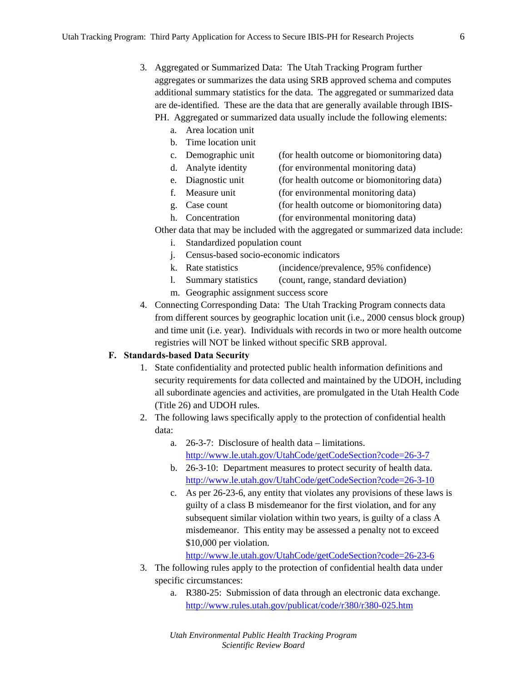- 3. Aggregated or Summarized Data: The Utah Tracking Program further aggregates or summarizes the data using SRB approved schema and computes additional summary statistics for the data. The aggregated or summarized data are de-identified. These are the data that are generally available through IBIS-PH. Aggregated or summarized data usually include the following elements:
	- a. Area location unit
	- b. Time location unit
	- c. Demographic unit (for health outcome or biomonitoring data)
	- d. Analyte identity (for environmental monitoring data)
		- e. Diagnostic unit (for health outcome or biomonitoring data)
	- f. Measure unit (for environmental monitoring data)
	- g. Case count (for health outcome or biomonitoring data)
	- h. Concentration (for environmental monitoring data)

Other data that may be included with the aggregated or summarized data include:

- i. Standardized population count
- j. Census-based socio-economic indicators
- k. Rate statistics (incidence/prevalence, 95% confidence)
- l. Summary statistics (count, range, standard deviation)
- m. Geographic assignment success score
- 4. Connecting Corresponding Data: The Utah Tracking Program connects data from different sources by geographic location unit (i.e., 2000 census block group) and time unit (i.e. year). Individuals with records in two or more health outcome registries will NOT be linked without specific SRB approval.

#### **F. Standards-based Data Security**

- 1. State confidentiality and protected public health information definitions and security requirements for data collected and maintained by the UDOH, including all subordinate agencies and activities, are promulgated in the Utah Health Code (Title 26) and UDOH rules.
- 2. The following laws specifically apply to the protection of confidential health data:
	- a. 26-3-7: Disclosure of health data limitations. http://www.le.utah.gov/UtahCode/getCodeSection?code=26-3-7
	- b. 26-3-10: Department measures to protect security of health data. http://www.le.utah.gov/UtahCode/getCodeSection?code=26-3-10
	- c. As per 26-23-6, any entity that violates any provisions of these laws is guilty of a class B misdemeanor for the first violation, and for any subsequent similar violation within two years, is guilty of a class A misdemeanor. This entity may be assessed a penalty not to exceed \$10,000 per violation.

http://www.le.utah.gov/UtahCode/getCodeSection?code=26-23-6

- 3. The following rules apply to the protection of confidential health data under specific circumstances:
	- a. R380-25: Submission of data through an electronic data exchange. http://www.rules.utah.gov/publicat/code/r380/r380-025.htm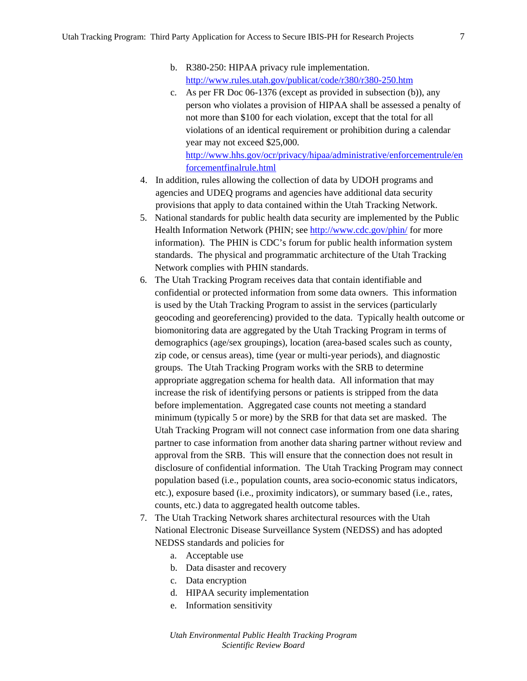- b. R380-250: HIPAA privacy rule implementation. http://www.rules.utah.gov/publicat/code/r380/r380-250.htm
- c. As per FR Doc 06-1376 (except as provided in subsection (b)), any person who violates a provision of HIPAA shall be assessed a penalty of not more than \$100 for each violation, except that the total for all violations of an identical requirement or prohibition during a calendar year may not exceed \$25,000. http://www.hhs.gov/ocr/privacy/hipaa/administrative/enforcementrule/en forcementfinalrule.html
- 4. In addition, rules allowing the collection of data by UDOH programs and agencies and UDEQ programs and agencies have additional data security provisions that apply to data contained within the Utah Tracking Network.
- 5. National standards for public health data security are implemented by the Public Health Information Network (PHIN; see http://www.cdc.gov/phin/ for more information). The PHIN is CDC's forum for public health information system standards. The physical and programmatic architecture of the Utah Tracking Network complies with PHIN standards.
- 6. The Utah Tracking Program receives data that contain identifiable and confidential or protected information from some data owners. This information is used by the Utah Tracking Program to assist in the services (particularly geocoding and georeferencing) provided to the data. Typically health outcome or biomonitoring data are aggregated by the Utah Tracking Program in terms of demographics (age/sex groupings), location (area-based scales such as county, zip code, or census areas), time (year or multi-year periods), and diagnostic groups. The Utah Tracking Program works with the SRB to determine appropriate aggregation schema for health data. All information that may increase the risk of identifying persons or patients is stripped from the data before implementation. Aggregated case counts not meeting a standard minimum (typically 5 or more) by the SRB for that data set are masked. The Utah Tracking Program will not connect case information from one data sharing partner to case information from another data sharing partner without review and approval from the SRB. This will ensure that the connection does not result in disclosure of confidential information. The Utah Tracking Program may connect population based (i.e., population counts, area socio-economic status indicators, etc.), exposure based (i.e., proximity indicators), or summary based (i.e., rates, counts, etc.) data to aggregated health outcome tables.
- 7. The Utah Tracking Network shares architectural resources with the Utah National Electronic Disease Surveillance System (NEDSS) and has adopted NEDSS standards and policies for
	- a. Acceptable use
	- b. Data disaster and recovery
	- c. Data encryption
	- d. HIPAA security implementation
	- e. Information sensitivity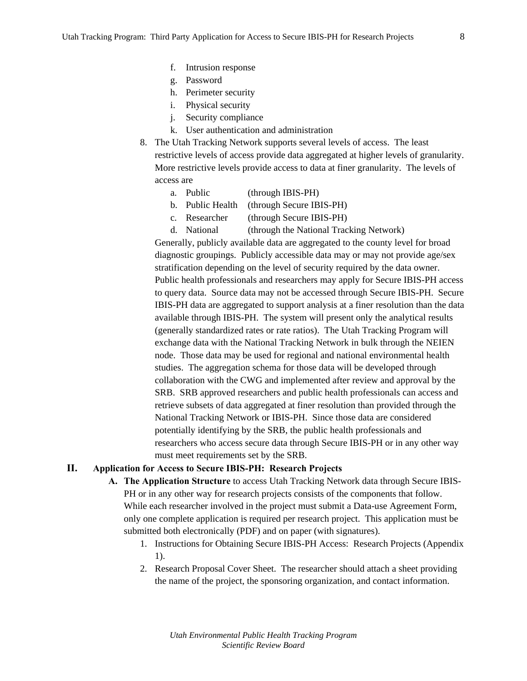- f. Intrusion response
- g. Password
- h. Perimeter security
- i. Physical security
- j. Security compliance
- k. User authentication and administration
- 8. The Utah Tracking Network supports several levels of access. The least restrictive levels of access provide data aggregated at higher levels of granularity. More restrictive levels provide access to data at finer granularity. The levels of access are
	- a. Public (through IBIS-PH)
	- b. Public Health (through Secure IBIS-PH)
	- c. Researcher (through Secure IBIS-PH)

d. National (through the National Tracking Network)

Generally, publicly available data are aggregated to the county level for broad diagnostic groupings. Publicly accessible data may or may not provide age/sex stratification depending on the level of security required by the data owner. Public health professionals and researchers may apply for Secure IBIS-PH access to query data. Source data may not be accessed through Secure IBIS-PH. Secure IBIS-PH data are aggregated to support analysis at a finer resolution than the data available through IBIS-PH. The system will present only the analytical results (generally standardized rates or rate ratios). The Utah Tracking Program will exchange data with the National Tracking Network in bulk through the NEIEN node. Those data may be used for regional and national environmental health studies. The aggregation schema for those data will be developed through collaboration with the CWG and implemented after review and approval by the SRB. SRB approved researchers and public health professionals can access and retrieve subsets of data aggregated at finer resolution than provided through the National Tracking Network or IBIS-PH. Since those data are considered potentially identifying by the SRB, the public health professionals and researchers who access secure data through Secure IBIS-PH or in any other way must meet requirements set by the SRB.

### **II. Application for Access to Secure IBIS-PH: Research Projects**

- **A. The Application Structure** to access Utah Tracking Network data through Secure IBIS-PH or in any other way for research projects consists of the components that follow. While each researcher involved in the project must submit a Data-use Agreement Form, only one complete application is required per research project. This application must be submitted both electronically (PDF) and on paper (with signatures).
	- 1. Instructions for Obtaining Secure IBIS-PH Access: Research Projects (Appendix 1).
	- 2. Research Proposal Cover Sheet. The researcher should attach a sheet providing the name of the project, the sponsoring organization, and contact information.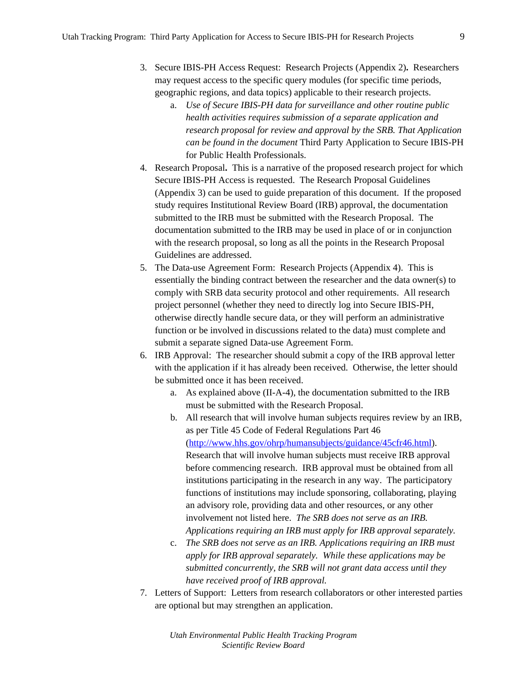- 3. Secure IBIS-PH Access Request: Research Projects (Appendix 2)**.** Researchers may request access to the specific query modules (for specific time periods, geographic regions, and data topics) applicable to their research projects.
	- a. *Use of Secure IBIS-PH data for surveillance and other routine public health activities requires submission of a separate application and research proposal for review and approval by the SRB. That Application can be found in the document* Third Party Application to Secure IBIS-PH for Public Health Professionals.
- 4. Research Proposal**.** This is a narrative of the proposed research project for which Secure IBIS-PH Access is requested. The Research Proposal Guidelines (Appendix 3) can be used to guide preparation of this document. If the proposed study requires Institutional Review Board (IRB) approval, the documentation submitted to the IRB must be submitted with the Research Proposal. The documentation submitted to the IRB may be used in place of or in conjunction with the research proposal, so long as all the points in the Research Proposal Guidelines are addressed.
- 5. The Data-use Agreement Form: Research Projects (Appendix 4). This is essentially the binding contract between the researcher and the data owner(s) to comply with SRB data security protocol and other requirements. All research project personnel (whether they need to directly log into Secure IBIS-PH, otherwise directly handle secure data, or they will perform an administrative function or be involved in discussions related to the data) must complete and submit a separate signed Data-use Agreement Form.
- 6. IRB Approval: The researcher should submit a copy of the IRB approval letter with the application if it has already been received. Otherwise, the letter should be submitted once it has been received.
	- a. As explained above (II-A-4), the documentation submitted to the IRB must be submitted with the Research Proposal.
	- b. All research that will involve human subjects requires review by an IRB, as per Title 45 Code of Federal Regulations Part 46 (http://www.hhs.gov/ohrp/humansubjects/guidance/45cfr46.html). Research that will involve human subjects must receive IRB approval before commencing research. IRB approval must be obtained from all institutions participating in the research in any way. The participatory functions of institutions may include sponsoring, collaborating, playing an advisory role, providing data and other resources, or any other involvement not listed here. *The SRB does not serve as an IRB. Applications requiring an IRB must apply for IRB approval separately.*
	- c. *The SRB does not serve as an IRB. Applications requiring an IRB must apply for IRB approval separately. While these applications may be submitted concurrently, the SRB will not grant data access until they have received proof of IRB approval.*
- 7. Letters of Support: Letters from research collaborators or other interested parties are optional but may strengthen an application.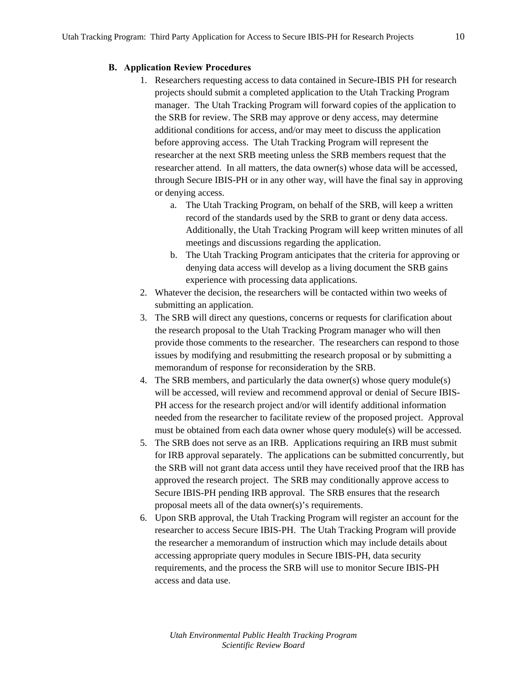#### **B. Application Review Procedures**

- 1. Researchers requesting access to data contained in Secure-IBIS PH for research projects should submit a completed application to the Utah Tracking Program manager. The Utah Tracking Program will forward copies of the application to the SRB for review. The SRB may approve or deny access, may determine additional conditions for access, and/or may meet to discuss the application before approving access. The Utah Tracking Program will represent the researcher at the next SRB meeting unless the SRB members request that the researcher attend. In all matters, the data owner(s) whose data will be accessed, through Secure IBIS-PH or in any other way, will have the final say in approving or denying access.
	- a. The Utah Tracking Program, on behalf of the SRB, will keep a written record of the standards used by the SRB to grant or deny data access. Additionally, the Utah Tracking Program will keep written minutes of all meetings and discussions regarding the application.
	- b. The Utah Tracking Program anticipates that the criteria for approving or denying data access will develop as a living document the SRB gains experience with processing data applications.
- 2. Whatever the decision, the researchers will be contacted within two weeks of submitting an application.
- 3. The SRB will direct any questions, concerns or requests for clarification about the research proposal to the Utah Tracking Program manager who will then provide those comments to the researcher. The researchers can respond to those issues by modifying and resubmitting the research proposal or by submitting a memorandum of response for reconsideration by the SRB.
- 4. The SRB members, and particularly the data owner(s) whose query module(s) will be accessed, will review and recommend approval or denial of Secure IBIS-PH access for the research project and/or will identify additional information needed from the researcher to facilitate review of the proposed project. Approval must be obtained from each data owner whose query module(s) will be accessed.
- 5. The SRB does not serve as an IRB. Applications requiring an IRB must submit for IRB approval separately. The applications can be submitted concurrently, but the SRB will not grant data access until they have received proof that the IRB has approved the research project. The SRB may conditionally approve access to Secure IBIS-PH pending IRB approval. The SRB ensures that the research proposal meets all of the data owner(s)'s requirements.
- 6. Upon SRB approval, the Utah Tracking Program will register an account for the researcher to access Secure IBIS-PH. The Utah Tracking Program will provide the researcher a memorandum of instruction which may include details about accessing appropriate query modules in Secure IBIS-PH, data security requirements, and the process the SRB will use to monitor Secure IBIS-PH access and data use.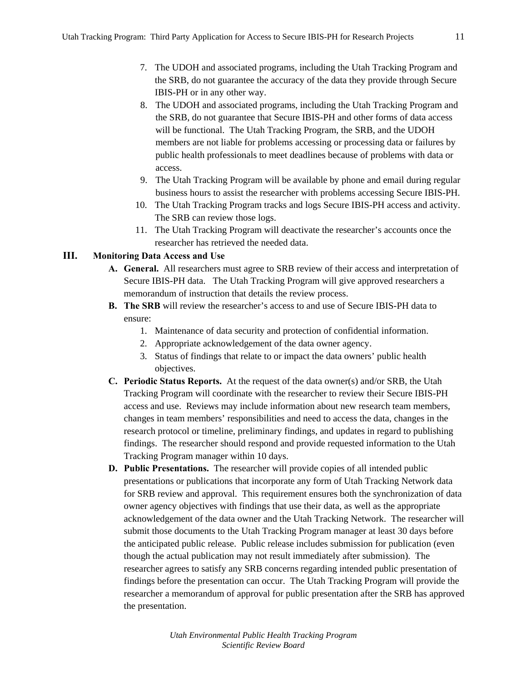- 7. The UDOH and associated programs, including the Utah Tracking Program and the SRB, do not guarantee the accuracy of the data they provide through Secure IBIS-PH or in any other way.
- 8. The UDOH and associated programs, including the Utah Tracking Program and the SRB, do not guarantee that Secure IBIS-PH and other forms of data access will be functional. The Utah Tracking Program, the SRB, and the UDOH members are not liable for problems accessing or processing data or failures by public health professionals to meet deadlines because of problems with data or access.
- 9. The Utah Tracking Program will be available by phone and email during regular business hours to assist the researcher with problems accessing Secure IBIS-PH.
- 10. The Utah Tracking Program tracks and logs Secure IBIS-PH access and activity. The SRB can review those logs.
- 11. The Utah Tracking Program will deactivate the researcher's accounts once the researcher has retrieved the needed data.

## **III. Monitoring Data Access and Use**

- **A. General.** All researchers must agree to SRB review of their access and interpretation of Secure IBIS-PH data. The Utah Tracking Program will give approved researchers a memorandum of instruction that details the review process.
- **B. The SRB** will review the researcher's access to and use of Secure IBIS-PH data to ensure:
	- 1. Maintenance of data security and protection of confidential information.
	- 2. Appropriate acknowledgement of the data owner agency.
	- 3. Status of findings that relate to or impact the data owners' public health objectives.
- **C. Periodic Status Reports.** At the request of the data owner(s) and/or SRB, the Utah Tracking Program will coordinate with the researcher to review their Secure IBIS-PH access and use. Reviews may include information about new research team members, changes in team members' responsibilities and need to access the data, changes in the research protocol or timeline, preliminary findings, and updates in regard to publishing findings. The researcher should respond and provide requested information to the Utah Tracking Program manager within 10 days.
- **D. Public Presentations.** The researcher will provide copies of all intended public presentations or publications that incorporate any form of Utah Tracking Network data for SRB review and approval. This requirement ensures both the synchronization of data owner agency objectives with findings that use their data, as well as the appropriate acknowledgement of the data owner and the Utah Tracking Network. The researcher will submit those documents to the Utah Tracking Program manager at least 30 days before the anticipated public release. Public release includes submission for publication (even though the actual publication may not result immediately after submission). The researcher agrees to satisfy any SRB concerns regarding intended public presentation of findings before the presentation can occur. The Utah Tracking Program will provide the researcher a memorandum of approval for public presentation after the SRB has approved the presentation.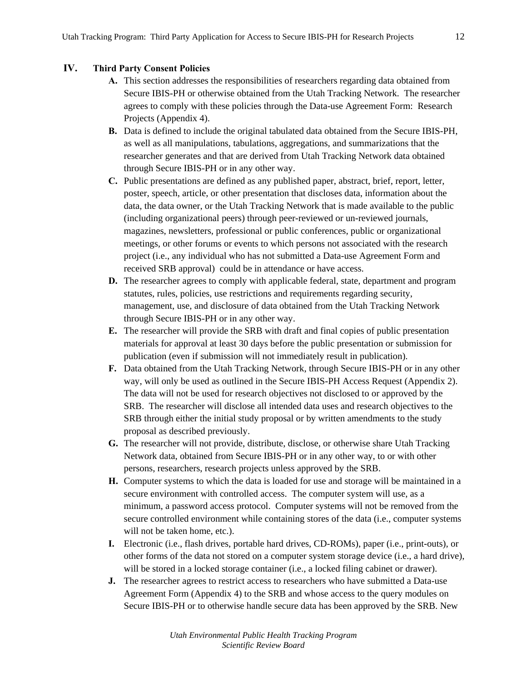## **IV. Third Party Consent Policies**

- **A.** This section addresses the responsibilities of researchers regarding data obtained from Secure IBIS-PH or otherwise obtained from the Utah Tracking Network. The researcher agrees to comply with these policies through the Data-use Agreement Form: Research Projects (Appendix 4).
- **B.** Data is defined to include the original tabulated data obtained from the Secure IBIS-PH, as well as all manipulations, tabulations, aggregations, and summarizations that the researcher generates and that are derived from Utah Tracking Network data obtained through Secure IBIS-PH or in any other way.
- **C.** Public presentations are defined as any published paper, abstract, brief, report, letter, poster, speech, article, or other presentation that discloses data, information about the data, the data owner, or the Utah Tracking Network that is made available to the public (including organizational peers) through peer-reviewed or un-reviewed journals, magazines, newsletters, professional or public conferences, public or organizational meetings, or other forums or events to which persons not associated with the research project (i.e., any individual who has not submitted a Data-use Agreement Form and received SRB approval) could be in attendance or have access.
- **D.** The researcher agrees to comply with applicable federal, state, department and program statutes, rules, policies, use restrictions and requirements regarding security, management, use, and disclosure of data obtained from the Utah Tracking Network through Secure IBIS-PH or in any other way.
- **E.** The researcher will provide the SRB with draft and final copies of public presentation materials for approval at least 30 days before the public presentation or submission for publication (even if submission will not immediately result in publication).
- **F.** Data obtained from the Utah Tracking Network, through Secure IBIS-PH or in any other way, will only be used as outlined in the Secure IBIS-PH Access Request (Appendix 2). The data will not be used for research objectives not disclosed to or approved by the SRB. The researcher will disclose all intended data uses and research objectives to the SRB through either the initial study proposal or by written amendments to the study proposal as described previously.
- **G.** The researcher will not provide, distribute, disclose, or otherwise share Utah Tracking Network data, obtained from Secure IBIS-PH or in any other way, to or with other persons, researchers, research projects unless approved by the SRB.
- **H.** Computer systems to which the data is loaded for use and storage will be maintained in a secure environment with controlled access. The computer system will use, as a minimum, a password access protocol. Computer systems will not be removed from the secure controlled environment while containing stores of the data (i.e., computer systems will not be taken home, etc.).
- **I.** Electronic (i.e., flash drives, portable hard drives, CD-ROMs), paper (i.e., print-outs), or other forms of the data not stored on a computer system storage device (i.e., a hard drive), will be stored in a locked storage container (i.e., a locked filing cabinet or drawer).
- **J.** The researcher agrees to restrict access to researchers who have submitted a Data-use Agreement Form (Appendix 4) to the SRB and whose access to the query modules on Secure IBIS-PH or to otherwise handle secure data has been approved by the SRB. New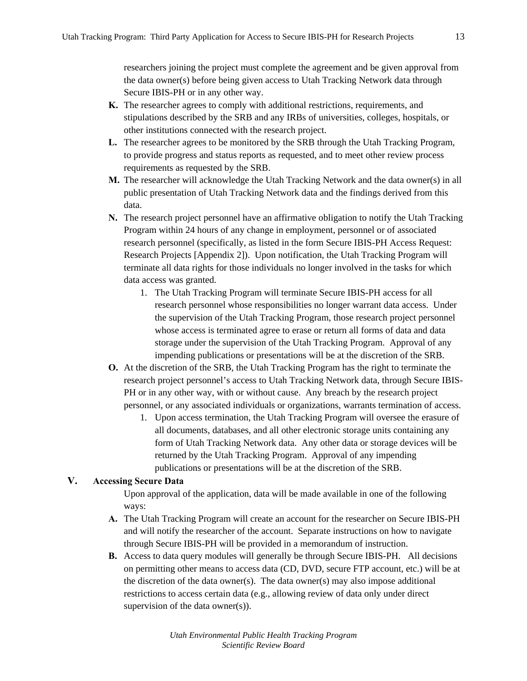researchers joining the project must complete the agreement and be given approval from the data owner(s) before being given access to Utah Tracking Network data through Secure IBIS-PH or in any other way.

- **K.** The researcher agrees to comply with additional restrictions, requirements, and stipulations described by the SRB and any IRBs of universities, colleges, hospitals, or other institutions connected with the research project.
- **L.** The researcher agrees to be monitored by the SRB through the Utah Tracking Program, to provide progress and status reports as requested, and to meet other review process requirements as requested by the SRB.
- **M.** The researcher will acknowledge the Utah Tracking Network and the data owner(s) in all public presentation of Utah Tracking Network data and the findings derived from this data.
- **N.** The research project personnel have an affirmative obligation to notify the Utah Tracking Program within 24 hours of any change in employment, personnel or of associated research personnel (specifically, as listed in the form Secure IBIS-PH Access Request: Research Projects [Appendix 2]). Upon notification, the Utah Tracking Program will terminate all data rights for those individuals no longer involved in the tasks for which data access was granted.
	- 1. The Utah Tracking Program will terminate Secure IBIS-PH access for all research personnel whose responsibilities no longer warrant data access. Under the supervision of the Utah Tracking Program, those research project personnel whose access is terminated agree to erase or return all forms of data and data storage under the supervision of the Utah Tracking Program. Approval of any impending publications or presentations will be at the discretion of the SRB.
- **O.** At the discretion of the SRB, the Utah Tracking Program has the right to terminate the research project personnel's access to Utah Tracking Network data, through Secure IBIS-PH or in any other way, with or without cause. Any breach by the research project personnel, or any associated individuals or organizations, warrants termination of access.
	- 1. Upon access termination, the Utah Tracking Program will oversee the erasure of all documents, databases, and all other electronic storage units containing any form of Utah Tracking Network data. Any other data or storage devices will be returned by the Utah Tracking Program. Approval of any impending publications or presentations will be at the discretion of the SRB.

## **V. Accessing Secure Data**

Upon approval of the application, data will be made available in one of the following ways:

- **A.** The Utah Tracking Program will create an account for the researcher on Secure IBIS-PH and will notify the researcher of the account. Separate instructions on how to navigate through Secure IBIS-PH will be provided in a memorandum of instruction.
- **B.** Access to data query modules will generally be through Secure IBIS-PH. All decisions on permitting other means to access data (CD, DVD, secure FTP account, etc.) will be at the discretion of the data owner(s). The data owner(s) may also impose additional restrictions to access certain data (e.g., allowing review of data only under direct supervision of the data owner(s)).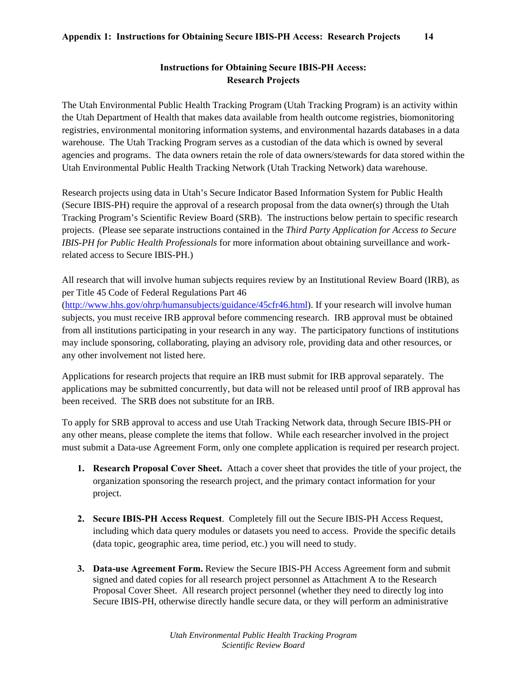## **Instructions for Obtaining Secure IBIS-PH Access: Research Projects**

The Utah Environmental Public Health Tracking Program (Utah Tracking Program) is an activity within the Utah Department of Health that makes data available from health outcome registries, biomonitoring registries, environmental monitoring information systems, and environmental hazards databases in a data warehouse. The Utah Tracking Program serves as a custodian of the data which is owned by several agencies and programs. The data owners retain the role of data owners/stewards for data stored within the Utah Environmental Public Health Tracking Network (Utah Tracking Network) data warehouse.

Research projects using data in Utah's Secure Indicator Based Information System for Public Health (Secure IBIS-PH) require the approval of a research proposal from the data owner(s) through the Utah Tracking Program's Scientific Review Board (SRB). The instructions below pertain to specific research projects. (Please see separate instructions contained in the *Third Party Application for Access to Secure IBIS-PH for Public Health Professionals* for more information about obtaining surveillance and workrelated access to Secure IBIS-PH.)

All research that will involve human subjects requires review by an Institutional Review Board (IRB), as per Title 45 Code of Federal Regulations Part 46

(http://www.hhs.gov/ohrp/humansubjects/guidance/45cfr46.html). If your research will involve human subjects, you must receive IRB approval before commencing research. IRB approval must be obtained from all institutions participating in your research in any way. The participatory functions of institutions may include sponsoring, collaborating, playing an advisory role, providing data and other resources, or any other involvement not listed here.

Applications for research projects that require an IRB must submit for IRB approval separately. The applications may be submitted concurrently, but data will not be released until proof of IRB approval has been received. The SRB does not substitute for an IRB.

To apply for SRB approval to access and use Utah Tracking Network data, through Secure IBIS-PH or any other means, please complete the items that follow. While each researcher involved in the project must submit a Data-use Agreement Form, only one complete application is required per research project.

- **1. Research Proposal Cover Sheet.** Attach a cover sheet that provides the title of your project, the organization sponsoring the research project, and the primary contact information for your project.
- **2. Secure IBIS-PH Access Request**. Completely fill out the Secure IBIS-PH Access Request, including which data query modules or datasets you need to access. Provide the specific details (data topic, geographic area, time period, etc.) you will need to study.
- **3. Data-use Agreement Form.** Review the Secure IBIS-PH Access Agreement form and submit signed and dated copies for all research project personnel as Attachment A to the Research Proposal Cover Sheet. All research project personnel (whether they need to directly log into Secure IBIS-PH, otherwise directly handle secure data, or they will perform an administrative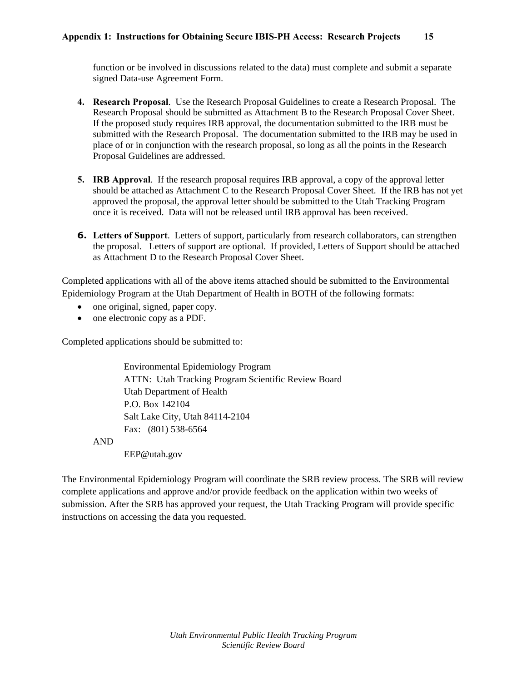function or be involved in discussions related to the data) must complete and submit a separate signed Data-use Agreement Form.

- **4. Research Proposal**. Use the Research Proposal Guidelines to create a Research Proposal. The Research Proposal should be submitted as Attachment B to the Research Proposal Cover Sheet. If the proposed study requires IRB approval, the documentation submitted to the IRB must be submitted with the Research Proposal. The documentation submitted to the IRB may be used in place of or in conjunction with the research proposal, so long as all the points in the Research Proposal Guidelines are addressed.
- **5. IRB Approval**. If the research proposal requires IRB approval, a copy of the approval letter should be attached as Attachment C to the Research Proposal Cover Sheet. If the IRB has not yet approved the proposal, the approval letter should be submitted to the Utah Tracking Program once it is received. Data will not be released until IRB approval has been received.
- **6. Letters of Support**. Letters of support, particularly from research collaborators, can strengthen the proposal. Letters of support are optional. If provided, Letters of Support should be attached as Attachment D to the Research Proposal Cover Sheet.

Completed applications with all of the above items attached should be submitted to the Environmental Epidemiology Program at the Utah Department of Health in BOTH of the following formats:

- one original, signed, paper copy.
- one electronic copy as a PDF.

Completed applications should be submitted to:

Environmental Epidemiology Program ATTN: Utah Tracking Program Scientific Review Board Utah Department of Health P.O. Box 142104 Salt Lake City, Utah 84114-2104 Fax: (801) 538-6564

AND

EEP@utah.gov

The Environmental Epidemiology Program will coordinate the SRB review process. The SRB will review complete applications and approve and/or provide feedback on the application within two weeks of submission. After the SRB has approved your request, the Utah Tracking Program will provide specific instructions on accessing the data you requested.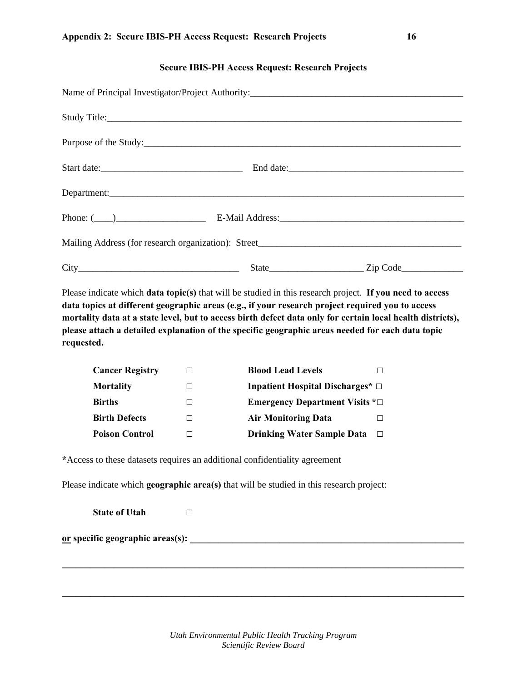#### **Secure IBIS-PH Access Request: Research Projects**

| Start date:     |  |
|-----------------|--|
| Department:     |  |
| Phone: $(\_\_)$ |  |
|                 |  |
|                 |  |

Please indicate which **data topic(s)** that will be studied in this research project. **If you need to access data topics at different geographic areas (e.g., if your research project required you to access mortality data at a state level, but to access birth defect data only for certain local health districts), please attach a detailed explanation of the specific geographic areas needed for each data topic requested.**

| <b>Cancer Registry</b> | <b>Blood Lead Levels</b>                    |
|------------------------|---------------------------------------------|
| <b>Mortality</b>       | Inpatient Hospital Discharges* $\Box$       |
| <b>Births</b>          | <b>Emergency Department Visits</b> $* \Box$ |
| <b>Birth Defects</b>   | <b>Air Monitoring Data</b>                  |
| <b>Poison Control</b>  | <b>Drinking Water Sample Data</b>           |

**\***Access to these datasets requires an additional confidentiality agreement

Please indicate which **geographic area(s)** that will be studied in this research project:

**State of Utah □**

**or specific geographic areas(s): \_\_\_\_\_\_\_\_\_\_\_\_\_\_\_\_\_\_\_\_\_\_\_\_\_\_\_\_\_\_\_\_\_\_\_\_\_\_\_\_\_\_\_\_\_\_\_\_\_\_\_\_\_\_\_\_\_\_** 

**\_\_\_\_\_\_\_\_\_\_\_\_\_\_\_\_\_\_\_\_\_\_\_\_\_\_\_\_\_\_\_\_\_\_\_\_\_\_\_\_\_\_\_\_\_\_\_\_\_\_\_\_\_\_\_\_\_\_\_\_\_\_\_\_\_\_\_\_\_\_\_\_\_\_\_\_\_\_\_\_\_\_\_\_\_** 

**\_\_\_\_\_\_\_\_\_\_\_\_\_\_\_\_\_\_\_\_\_\_\_\_\_\_\_\_\_\_\_\_\_\_\_\_\_\_\_\_\_\_\_\_\_\_\_\_\_\_\_\_\_\_\_\_\_\_\_\_\_\_\_\_\_\_\_\_\_\_\_\_\_\_\_\_\_\_\_\_\_\_\_\_\_**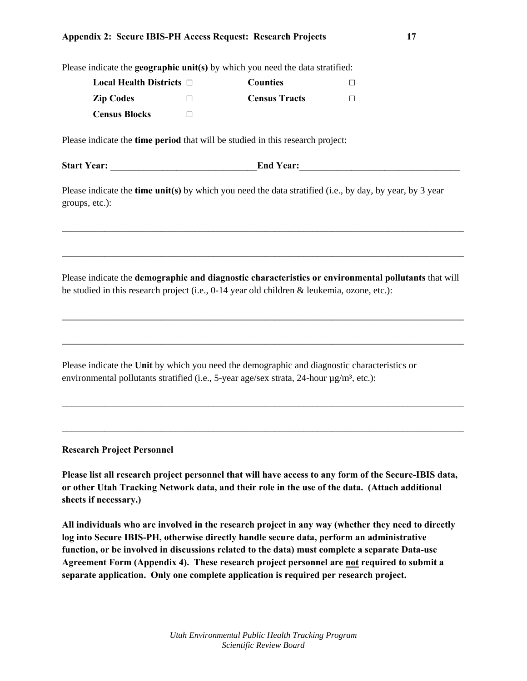#### **Appendix 2: Secure IBIS-PH Access Request: Research Projects 17**

| Please indicate the <b>geographic unit(s)</b> by which you need the data stratified: |  |
|--------------------------------------------------------------------------------------|--|
|--------------------------------------------------------------------------------------|--|

| <b>Local Health Districts</b> $\Box$ |   | <b>Counties</b>      |  |
|--------------------------------------|---|----------------------|--|
| <b>Zip Codes</b>                     | П | <b>Census Tracts</b> |  |
| <b>Census Blocks</b>                 |   |                      |  |

Please indicate the **time period** that will be studied in this research project:

**Start Year: \_\_\_\_\_\_\_\_\_\_\_\_\_\_\_\_\_\_\_\_\_\_\_\_\_\_\_\_\_\_\_End Year:\_\_\_\_\_\_\_\_\_\_\_\_\_\_\_\_\_\_\_\_\_\_\_\_\_\_\_\_\_\_\_\_\_\_** 

Please indicate the **time unit(s)** by which you need the data stratified (i.e., by day, by year, by 3 year groups, etc.):

Please indicate the **demographic and diagnostic characteristics or environmental pollutants** that will be studied in this research project (i.e., 0-14 year old children & leukemia, ozone, etc.):

**\_\_\_\_\_\_\_\_\_\_\_\_\_\_\_\_\_\_\_\_\_\_\_\_\_\_\_\_\_\_\_\_\_\_\_\_\_\_\_\_\_\_\_\_\_\_\_\_\_\_\_\_\_\_\_\_\_\_\_\_\_\_\_\_\_\_\_\_\_\_\_\_\_\_\_\_\_\_\_\_\_\_\_\_\_** 

\_\_\_\_\_\_\_\_\_\_\_\_\_\_\_\_\_\_\_\_\_\_\_\_\_\_\_\_\_\_\_\_\_\_\_\_\_\_\_\_\_\_\_\_\_\_\_\_\_\_\_\_\_\_\_\_\_\_\_\_\_\_\_\_\_\_\_\_\_\_\_\_\_\_\_\_\_\_\_\_\_\_\_\_\_

\_\_\_\_\_\_\_\_\_\_\_\_\_\_\_\_\_\_\_\_\_\_\_\_\_\_\_\_\_\_\_\_\_\_\_\_\_\_\_\_\_\_\_\_\_\_\_\_\_\_\_\_\_\_\_\_\_\_\_\_\_\_\_\_\_\_\_\_\_\_\_\_\_\_\_\_\_\_\_\_\_\_\_\_\_

\_\_\_\_\_\_\_\_\_\_\_\_\_\_\_\_\_\_\_\_\_\_\_\_\_\_\_\_\_\_\_\_\_\_\_\_\_\_\_\_\_\_\_\_\_\_\_\_\_\_\_\_\_\_\_\_\_\_\_\_\_\_\_\_\_\_\_\_\_\_\_\_\_\_\_\_\_\_\_\_\_\_\_\_\_

\_\_\_\_\_\_\_\_\_\_\_\_\_\_\_\_\_\_\_\_\_\_\_\_\_\_\_\_\_\_\_\_\_\_\_\_\_\_\_\_\_\_\_\_\_\_\_\_\_\_\_\_\_\_\_\_\_\_\_\_\_\_\_\_\_\_\_\_\_\_\_\_\_\_\_\_\_\_\_\_\_\_\_\_\_

\_\_\_\_\_\_\_\_\_\_\_\_\_\_\_\_\_\_\_\_\_\_\_\_\_\_\_\_\_\_\_\_\_\_\_\_\_\_\_\_\_\_\_\_\_\_\_\_\_\_\_\_\_\_\_\_\_\_\_\_\_\_\_\_\_\_\_\_\_\_\_\_\_\_\_\_\_\_\_\_\_\_\_\_\_

Please indicate the **Unit** by which you need the demographic and diagnostic characteristics or environmental pollutants stratified (i.e., 5-year age/sex strata, 24-hour  $\mu$ g/m<sup>3</sup>, etc.):

**Research Project Personnel** 

**Please list all research project personnel that will have access to any form of the Secure-IBIS data, or other Utah Tracking Network data, and their role in the use of the data. (Attach additional sheets if necessary.)** 

**All individuals who are involved in the research project in any way (whether they need to directly log into Secure IBIS-PH, otherwise directly handle secure data, perform an administrative function, or be involved in discussions related to the data) must complete a separate Data-use Agreement Form (Appendix 4). These research project personnel are not required to submit a separate application. Only one complete application is required per research project.**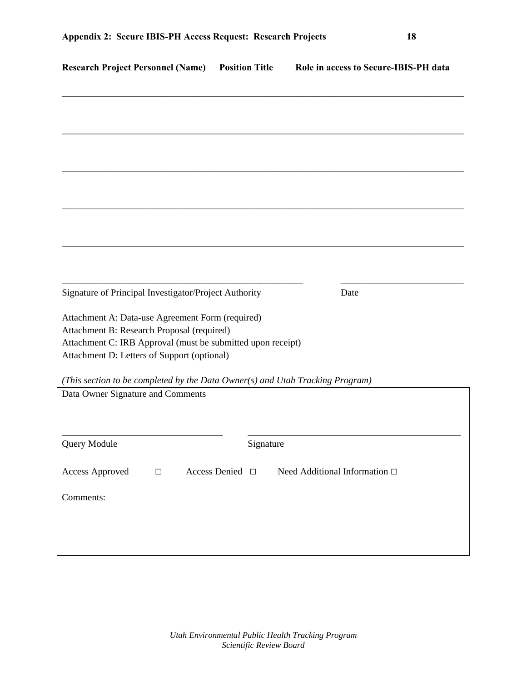| <b>Research Project Personnel (Name)</b>                                                                                                                                                                     | <b>Position Title</b> | Role in access to Secure-IBIS-PH data |
|--------------------------------------------------------------------------------------------------------------------------------------------------------------------------------------------------------------|-----------------------|---------------------------------------|
|                                                                                                                                                                                                              |                       |                                       |
|                                                                                                                                                                                                              |                       |                                       |
|                                                                                                                                                                                                              |                       |                                       |
|                                                                                                                                                                                                              |                       |                                       |
|                                                                                                                                                                                                              |                       |                                       |
|                                                                                                                                                                                                              |                       |                                       |
|                                                                                                                                                                                                              |                       |                                       |
|                                                                                                                                                                                                              |                       |                                       |
|                                                                                                                                                                                                              |                       |                                       |
| Signature of Principal Investigator/Project Authority                                                                                                                                                        |                       | Date                                  |
| Attachment A: Data-use Agreement Form (required)<br>Attachment B: Research Proposal (required)<br>Attachment C: IRB Approval (must be submitted upon receipt)<br>Attachment D: Letters of Support (optional) |                       |                                       |
| (This section to be completed by the Data Owner(s) and Utah Tracking Program)                                                                                                                                |                       |                                       |
| Data Owner Signature and Comments                                                                                                                                                                            |                       |                                       |
|                                                                                                                                                                                                              |                       |                                       |
| Query Module                                                                                                                                                                                                 | Signature             |                                       |
| <b>Access Approved</b><br>$\Box$                                                                                                                                                                             | Access Denied □       | Need Additional Information □         |
| Comments:                                                                                                                                                                                                    |                       |                                       |
|                                                                                                                                                                                                              |                       |                                       |
|                                                                                                                                                                                                              |                       |                                       |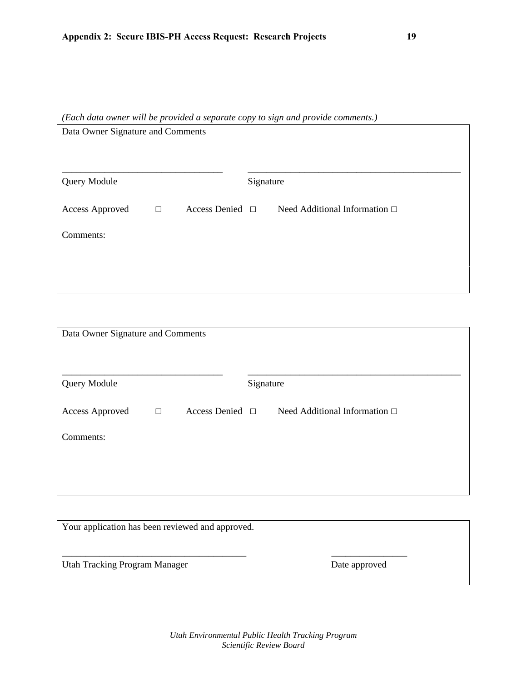*(Each data owner will be provided a separate copy to sign and provide comments.)* 

| <b>Query Module</b><br>Signature<br>Access Denied $\Box$<br>Need Additional Information $\square$<br><b>Access Approved</b><br>$\Box$ |
|---------------------------------------------------------------------------------------------------------------------------------------|
|                                                                                                                                       |
|                                                                                                                                       |
| Comments:                                                                                                                             |
|                                                                                                                                       |

| Data Owner Signature and Comments |        |                      |           |                                    |  |
|-----------------------------------|--------|----------------------|-----------|------------------------------------|--|
| Query Module                      |        |                      | Signature |                                    |  |
| Access Approved                   | $\Box$ | Access Denied $\Box$ |           | Need Additional Information $\Box$ |  |
| Comments:                         |        |                      |           |                                    |  |
|                                   |        |                      |           |                                    |  |
|                                   |        |                      |           |                                    |  |

| Your application has been reviewed and approved. |               |  |
|--------------------------------------------------|---------------|--|
| <b>Utah Tracking Program Manager</b>             | Date approved |  |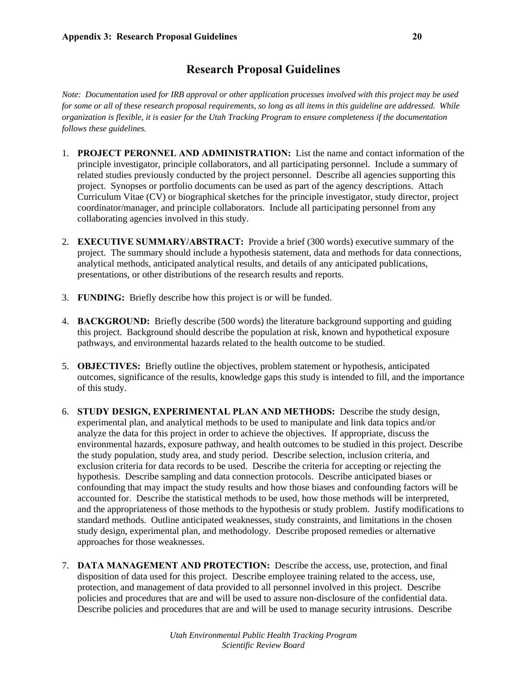## **Research Proposal Guidelines**

*Note: Documentation used for IRB approval or other application processes involved with this project may be used for some or all of these research proposal requirements, so long as all items in this guideline are addressed. While organization is flexible, it is easier for the Utah Tracking Program to ensure completeness if the documentation follows these guidelines.* 

- 1. **PROJECT PERONNEL AND ADMINISTRATION:** List the name and contact information of the principle investigator, principle collaborators, and all participating personnel. Include a summary of related studies previously conducted by the project personnel. Describe all agencies supporting this project. Synopses or portfolio documents can be used as part of the agency descriptions. Attach Curriculum Vitae (CV) or biographical sketches for the principle investigator, study director, project coordinator/manager, and principle collaborators. Include all participating personnel from any collaborating agencies involved in this study.
- 2. **EXECUTIVE SUMMARY/ABSTRACT:** Provide a brief (300 words) executive summary of the project. The summary should include a hypothesis statement, data and methods for data connections, analytical methods, anticipated analytical results, and details of any anticipated publications, presentations, or other distributions of the research results and reports.
- 3. **FUNDING:** Briefly describe how this project is or will be funded.
- 4. **BACKGROUND:** Briefly describe (500 words) the literature background supporting and guiding this project. Background should describe the population at risk, known and hypothetical exposure pathways, and environmental hazards related to the health outcome to be studied.
- 5. **OBJECTIVES:** Briefly outline the objectives, problem statement or hypothesis, anticipated outcomes, significance of the results, knowledge gaps this study is intended to fill, and the importance of this study.
- 6. **STUDY DESIGN, EXPERIMENTAL PLAN AND METHODS:** Describe the study design, experimental plan, and analytical methods to be used to manipulate and link data topics and/or analyze the data for this project in order to achieve the objectives. If appropriate, discuss the environmental hazards, exposure pathway, and health outcomes to be studied in this project. Describe the study population, study area, and study period. Describe selection, inclusion criteria, and exclusion criteria for data records to be used. Describe the criteria for accepting or rejecting the hypothesis. Describe sampling and data connection protocols. Describe anticipated biases or confounding that may impact the study results and how those biases and confounding factors will be accounted for. Describe the statistical methods to be used, how those methods will be interpreted, and the appropriateness of those methods to the hypothesis or study problem. Justify modifications to standard methods. Outline anticipated weaknesses, study constraints, and limitations in the chosen study design, experimental plan, and methodology. Describe proposed remedies or alternative approaches for those weaknesses.
- 7. **DATA MANAGEMENT AND PROTECTION:** Describe the access, use, protection, and final disposition of data used for this project. Describe employee training related to the access, use, protection, and management of data provided to all personnel involved in this project. Describe policies and procedures that are and will be used to assure non-disclosure of the confidential data. Describe policies and procedures that are and will be used to manage security intrusions. Describe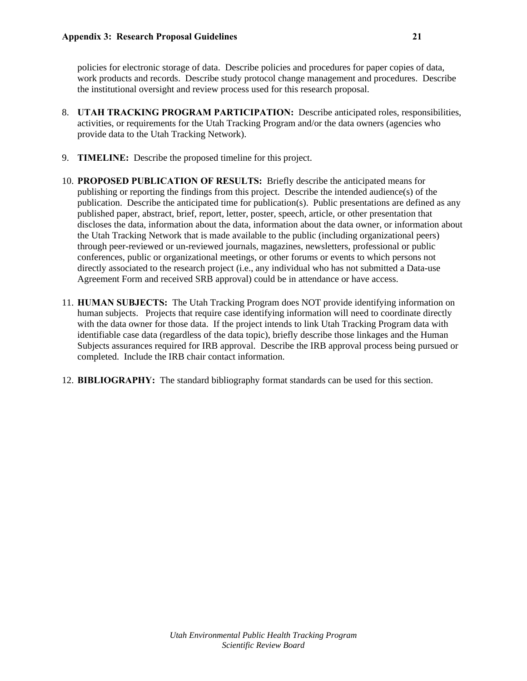policies for electronic storage of data. Describe policies and procedures for paper copies of data, work products and records. Describe study protocol change management and procedures. Describe the institutional oversight and review process used for this research proposal.

- 8. **UTAH TRACKING PROGRAM PARTICIPATION:** Describe anticipated roles, responsibilities, activities, or requirements for the Utah Tracking Program and/or the data owners (agencies who provide data to the Utah Tracking Network).
- 9. **TIMELINE:** Describe the proposed timeline for this project.
- 10. **PROPOSED PUBLICATION OF RESULTS:** Briefly describe the anticipated means for publishing or reporting the findings from this project. Describe the intended audience(s) of the publication. Describe the anticipated time for publication(s). Public presentations are defined as any published paper, abstract, brief, report, letter, poster, speech, article, or other presentation that discloses the data, information about the data, information about the data owner, or information about the Utah Tracking Network that is made available to the public (including organizational peers) through peer-reviewed or un-reviewed journals, magazines, newsletters, professional or public conferences, public or organizational meetings, or other forums or events to which persons not directly associated to the research project (i.e., any individual who has not submitted a Data-use Agreement Form and received SRB approval) could be in attendance or have access.
- 11. **HUMAN SUBJECTS:** The Utah Tracking Program does NOT provide identifying information on human subjects. Projects that require case identifying information will need to coordinate directly with the data owner for those data. If the project intends to link Utah Tracking Program data with identifiable case data (regardless of the data topic), briefly describe those linkages and the Human Subjects assurances required for IRB approval. Describe the IRB approval process being pursued or completed. Include the IRB chair contact information.
- 12. **BIBLIOGRAPHY:** The standard bibliography format standards can be used for this section.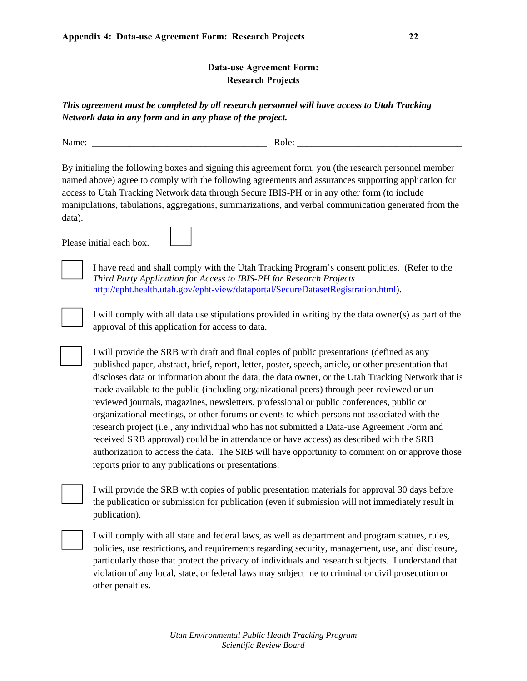## **Data-use Agreement Form: Research Projects**

*This agreement must be completed by all research personnel will have access to Utah Tracking Network data in any form and in any phase of the project.*

Name: \_\_\_\_\_\_\_\_\_\_\_\_\_\_\_\_\_\_\_\_\_\_\_\_\_\_\_\_\_\_\_\_\_\_\_\_\_ Role: \_\_\_\_\_\_\_\_\_\_\_\_\_\_\_\_\_\_\_\_\_\_\_\_\_\_\_\_\_\_\_\_\_\_\_

By initialing the following boxes and signing this agreement form, you (the research personnel member named above) agree to comply with the following agreements and assurances supporting application for access to Utah Tracking Network data through Secure IBIS-PH or in any other form (to include manipulations, tabulations, aggregations, summarizations, and verbal communication generated from the data).

Please initial each box.



I have read and shall comply with the Utah Tracking Program's consent policies. (Refer to the *Third Party Application for Access to IBIS-PH for Research Projects* http://epht.health.utah.gov/epht-view/dataportal/SecureDatasetRegistration.html).

I will comply with all data use stipulations provided in writing by the data owner(s) as part of the approval of this application for access to data.

 I will provide the SRB with draft and final copies of public presentations (defined as any published paper, abstract, brief, report, letter, poster, speech, article, or other presentation that discloses data or information about the data, the data owner, or the Utah Tracking Network that is made available to the public (including organizational peers) through peer-reviewed or unreviewed journals, magazines, newsletters, professional or public conferences, public or organizational meetings, or other forums or events to which persons not associated with the research project (i.e., any individual who has not submitted a Data-use Agreement Form and received SRB approval) could be in attendance or have access) as described with the SRB authorization to access the data. The SRB will have opportunity to comment on or approve those reports prior to any publications or presentations.

I will provide the SRB with copies of public presentation materials for approval 30 days before the publication or submission for publication (even if submission will not immediately result in publication).

 I will comply with all state and federal laws, as well as department and program statues, rules, policies, use restrictions, and requirements regarding security, management, use, and disclosure, particularly those that protect the privacy of individuals and research subjects. I understand that violation of any local, state, or federal laws may subject me to criminal or civil prosecution or other penalties.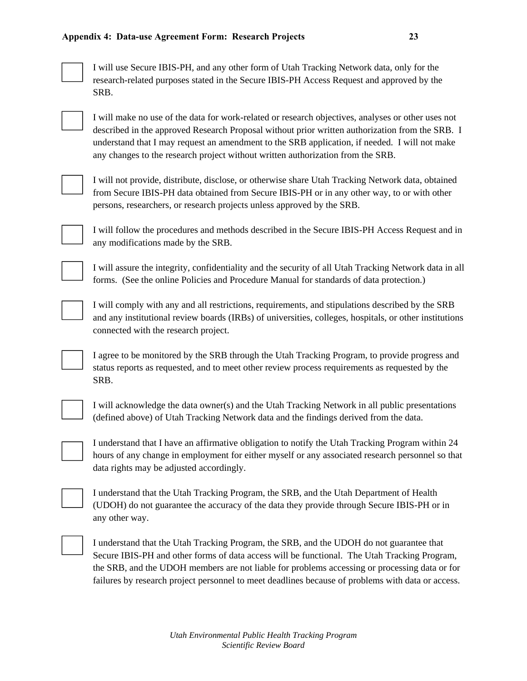

I will use Secure IBIS-PH, and any other form of Utah Tracking Network data, only for the research-related purposes stated in the Secure IBIS-PH Access Request and approved by the SRB.

I will make no use of the data for work-related or research objectives, analyses or other uses not described in the approved Research Proposal without prior written authorization from the SRB. I understand that I may request an amendment to the SRB application, if needed. I will not make any changes to the research project without written authorization from the SRB.



I will not provide, distribute, disclose, or otherwise share Utah Tracking Network data, obtained from Secure IBIS-PH data obtained from Secure IBIS-PH or in any other way, to or with other persons, researchers, or research projects unless approved by the SRB.



I will follow the procedures and methods described in the Secure IBIS-PH Access Request and in any modifications made by the SRB.



I will assure the integrity, confidentiality and the security of all Utah Tracking Network data in all forms. (See the online Policies and Procedure Manual for standards of data protection.)

 I will comply with any and all restrictions, requirements, and stipulations described by the SRB and any institutional review boards (IRBs) of universities, colleges, hospitals, or other institutions connected with the research project.

 I agree to be monitored by the SRB through the Utah Tracking Program, to provide progress and status reports as requested, and to meet other review process requirements as requested by the SRB.



 I will acknowledge the data owner(s) and the Utah Tracking Network in all public presentations (defined above) of Utah Tracking Network data and the findings derived from the data.

 I understand that I have an affirmative obligation to notify the Utah Tracking Program within 24 hours of any change in employment for either myself or any associated research personnel so that data rights may be adjusted accordingly.

 I understand that the Utah Tracking Program, the SRB, and the Utah Department of Health (UDOH) do not guarantee the accuracy of the data they provide through Secure IBIS-PH or in any other way.



 I understand that the Utah Tracking Program, the SRB, and the UDOH do not guarantee that Secure IBIS-PH and other forms of data access will be functional. The Utah Tracking Program, the SRB, and the UDOH members are not liable for problems accessing or processing data or for failures by research project personnel to meet deadlines because of problems with data or access.